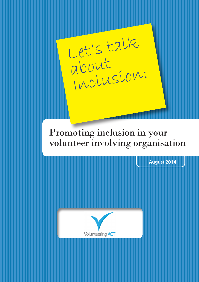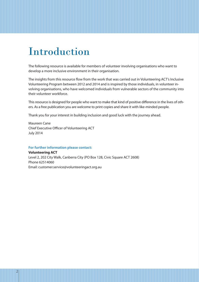## Introduction

The following resource is available for members of volunteer involving organisations who want to develop a more inclusive environment in their organisation.

The insights from this resource flow from the work that was carried out in Volunteering ACT's Inclusive Volunteering Program between 2012 and 2014 and is inspired by those individuals, in volunteer involving organisations, who have welcomed individuals from vulnerable sectors of the community into their volunteer workforce.

This resource is designed for people who want to make that kind of positive difference in the lives of others. As a free publication you are welcome to print copies and share it with like-minded people.

Thank you for your interest in building inclusion and good luck with the journey ahead.

Maureen Cane Chief Executive Officer of Volunteering ACT July 2014

#### **For further information please contact:**

**Volunteering ACT** Level 2, 202 City Walk, Canberra City (PO Box 128, Civic Square ACT 2608) Phone 62514060 Email: customer.service@volunteeringact.org.au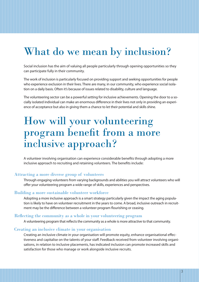# What do we mean by inclusion?

Social inclusion has the aim of valuing all people particularly through opening opportunities so they can participate fully in their community.

The work of inclusion is particularly focused on providing support and seeking opportunities for people who experience exclusion in their lives. There are many, in our community, who experience social isolation on a daily basis. Often it's because of issues related to disability, culture and language.

The volunteering sector can be a powerful setting for inclusive achievements. Opening the door to a socially isolated individual can make an enormous difference in their lives not only in providing an experience of acceptance but also in giving them a chance to let their potential and skills shine.

## How will your volunteering program benefit from a more inclusive approach?

A volunteer involving organisation can experience considerable benefits through adopting a more inclusive approach to recruiting and retaining volunteers. The benefits include:

#### Attracting a more diverse group of volunteers

Through engaging volunteers from varying backgrounds and abilities you will attract volunteers who will offer your volunteering program a wide range of skills, experiences and perspectives.

#### Building a more sustainable volunteer workforce

Adopting a more inclusive approach is a smart strategy particularly given the impact the aging population is likely to have on volunteer recruitment in the years to come. A broad, inclusive outreach in recruitment may be the difference between a volunteer program flourishing or ceasing.

#### Reflecting the community as a whole in your volunteering program

A volunteering program that reflects the community as a whole is more attractive to that community.

#### Creating an inclusive climate in your organisation

Creating an inclusive climate in your organisation will promote equity, enhance organisational effectiveness and capitalise on the talents of your staff. Feedback received from volunteer involving organisations, in relation to inclusive placements, has indicated inclusion can promote increased skills and satisfaction for those who manage or work alongside inclusive recruits.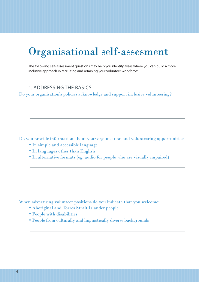# Organisational self-assesment

The following self-assessment questions may help you identify areas where you can build a more inclusive approach in recruiting and retaining your volunteer workforce:

### 1. ADDRESSING THE BASICS

Do your organisation's policies acknowledge and support inclusive volunteering?

Do you provide information about your organisation and volunteering opportunities:

- In simple and accessible language
- In languages other than English
- In alternative formats (eg. audio for people who are visually impaired)

When advertising volunteer positions do you indicate that you welcome:

- Aboriginal and Torres Strait Islander people
- People with disabilities
- People from culturally and linguistically diverse backgrounds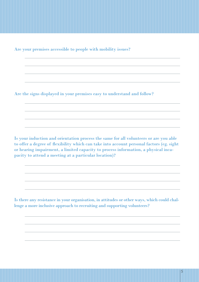Are your premises accessible to people with mobility issues?

Are the signs displayed in your premises easy to understand and follow?

Is your induction and orientation process the same for all volunteers or are you able to offer a degree of flexibility which can take into account personal factors (eg. sight or hearing impairment, a limited capacity to process information, a physical incapacity to attend a meeting at a particular location)?

Is there any resistance in your organisation, in attitudes or other ways, which could challenge a more inclusive approach to recruiting and supporting volunteers?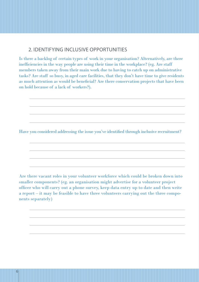### 2. IDENTIFYING INCLUSIVE OPPORTUNITIES

Is there a backlog of certain types of work in your organisation? Alternatively, are there inefficiencies in the way people are using their time in the workplace? (eg. Are staff members taken away from their main work due to having to catch up on administrative tasks? Are staff so busy, in aged care facilities, that they don't have time to give residents as much attention as would be beneficial? Are there conservation projects that have been on hold because of a lack of workers?).

Have you considered addressing the issue you've identified through inclusive recruitment?

Are there vacant roles in your volunteer workforce which could be broken down into smaller components? (eg. an organisation might advertise for a volunteer project officer who will carry out a phone survey, keep data entry up to date and then write a report – it may be feasible to have three volunteers carrying out the three components separately)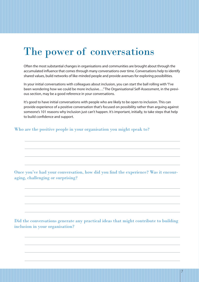# The power of conversations

Often the most substantial changes in organisations and communities are brought about through the accumulated influence that comes through many conversations over time. Conversations help to identify shared values, build networks of like-minded people and provide avenues for exploring possibilities.

In your initial conversations with colleagues about inclusion, you can start the ball rolling with "I've been wondering how we could be more inclusive…." The Organisational Self-Assessment, in the previous section, may be a good reference in your conversations.

It's good to have initial conversations with people who are likely to be open to inclusion. This can provide experience of a positive conversation that's focused on possibility rather than arguing against someone's 101 reasons why inclusion just can't happen. It's important, initially, to take steps that help to build confidence and support.

Who are the positive people in your organisation you might speak to?

Once you've had your conversation, how did you find the experience? Was it encouraging, challenging or surprising?

Did the conversations generate any practical ideas that might contribute to building inclusion in your organisation?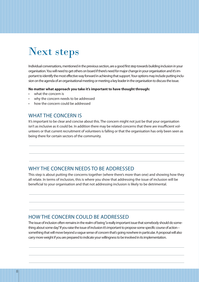# Next steps

Individual conversations, mentioned in the previous section, are a good first step towards building inclusion in your organisation. You will need to get others on board if there's need for major change in your organisation and it's important to identify the most effective way forward in achieving that support. Your options may include putting inclusion on the agenda of an organisational meeting or meeting a key leader in the organisation to discuss the issue.

#### **No matter what approach you take it's important to have thought through:**

- what the concern is
- why the concern needs to be addressed
- how the concern could be addressed

## WHAT THE CONCERN IS

It's important to be clear and concise about this. The concern might not just be that your organisation isn't as inclusive as it could be. In addition there may be related concerns that there are insufficient volunteers or that current recruitment of volunteers is falling or that the organisation has only been seen as being there for certain sectors of the community.

## WHY THE CONCERN NEEDS TO BE ADDRESSED

This step is about putting the concerns together (where there's more than one) and showing how they all relate. In terms of inclusion, this is where you show that addressing the issue of inclusion will be beneficial to your organisation and that not addressing inclusion is likely to be detrimental.

## HOW THE CONCERN COULD BE ADDRESSED

The issue of inclusion often remains in the realm of being "a really important issue that somebody should do something about some day." If you raise the issue of inclusion it's important to propose some specific course of action – something that will move beyond a vague sense of concern that's going nowhere in particular. A proposal will also carry more weight if you are prepared to indicate your willingness to be involved in its implementation.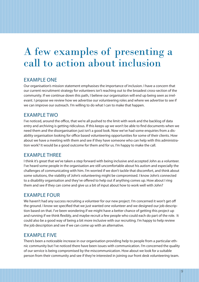## A few examples of presenting a call to action about inclusion

## EXAMPLE ONE

Our organisation's mission statement emphasises the importance of inclusion. I have a concern that our current recruitment strategy for volunteers isn't reaching out to the broadest cross-section of the community. If we continue down this path, I believe our organisation will end up being seen as irrelevant. I propose we review how we advertise our volunteering roles and where we advertise to see if we can improve our outreach. I'm willing to do what I can to make that happen.

## EXAMPLE TWO

I've noticed, around the office, that we're all pushed to the limit with work and the backlog of data entry and archiving is getting ridiculous. If this keeps up we won't be able to find documents when we need them and the disorganisation just isn't a good look. Now we've had some enquiries from a disability organisation looking for office based volunteering opportunities for some of their clients. How about we have a meeting with them and see if they have someone who can help with this administration work? It would be a good outcome for them and for us. I'm happy to make the call.

## EXAMPLE THREE

I think it's great that we've taken a step forward with being inclusive and accepted John as a volunteer. I've heard some people in the organisation are still uncomfortable about his autism and especially the challenges of communicating with him. I'm worried if we don't tackle that discomfort, and think about some solutions, the viability of John's volunteering might be compromised. I know John's connected to a disability organisation and they've offered to help out if anything comes up. How about I ring them and see if they can come and give us a bit of input about how to work well with John?

## EXAMPLE FOUR

We haven't had any success recruiting a volunteer for our new project. I'm concerned it won't get off the ground. I know we specified that we just wanted one volunteer and we designed our job description based on that. I've been wondering if we might have a better chance of getting this project up and running if we think flexibly, and maybe recruit a few people who could each do part of the role. It could also be a good way of being a bit more inclusive with our recruiting. I'm happy to help review the job description and see if we can come up with an alternative.

## EXAMPLE FIVE

There's been a noticeable increase in our organisation providing help to people from a particular ethnic community but I've noticed there have been issues with communication. I'm concerned the quality of our service is being compromised by the miscommunication. How about we look for a suitable person from their community and see if they're interested in joining our front desk volunteering team.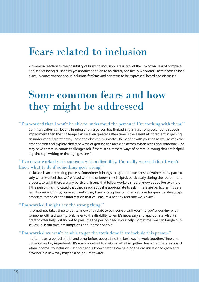## Fears related to inclusion

A common reaction to the possibility of building inclusion is fear: fear of the unknown, fear of complication, fear of being crushed by yet another addition to an already too heavy workload. There needs to be a place, in conversations about inclusion, for fears and concerns to be expressed, heard and discussed.

## Some common fears and how they might be addressed

#### "I'm worried that I won't be able to understand the person if I'm working with them."

Communication can be challenging and if a person has limited English, a strong accent or a speech impediment then the challenge can be even greater. Often time is the essential ingredient in gaining an understanding of the way someone else communicates. Be patient with yourself as well as with the other person and explore different ways of getting the message across. When recruiting someone who may have communication challenges ask if there are alternate ways of communicating that are helpful (eg. through writing or through gestures).

### "I've never worked with someone with a disability. I'm really worried that I won't know what to do if something goes wrong."

Inclusion is an interesting process. Sometimes it brings to light our own sense of vulnerability particularly when we feel that we're faced with the unknown. It's helpful, particularly during the recruitment process, to ask if there are any particular issues that fellow workers should know about. For example if the person has indicated that they're epileptic it is appropriate to ask if there are particular triggers (eg. fluorescent lights, noise etc) and if they have a care plan for when seizures happen. It's always appropriate to find out the information that will ensure a healthy and safe workplace.

#### "I'm worried I might say the wrong thing."

It sometimes takes time to get to know and relate to someone else. If you find you're working with someone with a disability, only refer to the disability when it's necessary and appropriate. Also it's great to offer help but try not to presume the person needs your help. Sometimes we can tangle ourselves up in our own presumptions about other people.

#### "I'm worried we won't be able to get the work done if we include this person."

It often takes a period of trial and error before people find the best way to work together. Time and patience are key ingredients. It's also important to make an effort in getting team members on board when it comes to inclusion. Letting people know that they're helping the organisation to grow and develop in a new way may be a helpful motivator.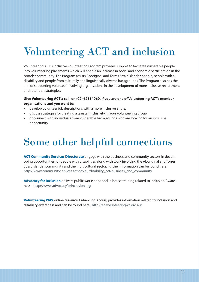# Volunteering ACT and inclusion

Volunteering ACT's Inclusive Volunteering Program provides support to facilitate vulnerable people into volunteering placements which will enable an increase in social and economic participation in the broader community. The Program assists Aboriginal and Torres Strait Islander people, people with a disability and people from culturally and linguistically diverse backgrounds. The Program also has the aim of supporting volunteer involving organisations in the development of more inclusive recruitment and retention strategies.

#### **Give Volunteering ACT a call, on (02) 62514060, if you are one of Volunteering ACT's member organisations and you want to:**

- develop volunteer job descriptions with a more inclusive angle,
- discuss strategies for creating a greater inclusivity in your volunteering group
- or connect with individuals from vulnerable backgrounds who are looking for an inclusive opportunity

## Some other helpful connections

**ACT Community Services Directorate** engage with the business and community sectors in developing opportunities for people with disabilities along with work involving the Aboriginal and Torres Strait Islander community and the multicultural sector. Further information can be found here: http://www.communityservices.act.gov.au/disability\_act/business\_and\_community

**Advocacy for Inclusion** delivers public workshops and in house training related to Inclusion Awareness. http://www.advocacyforinclusion.org

**Volunteering WA's** online resource, Enhancing Access, provides information related to inclusion and disability awareness and can be found here: http://ea.volunteeringwa.org.au/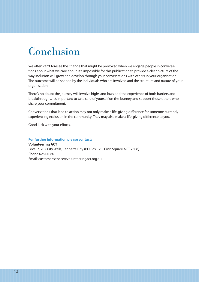## Conclusion

We often can't foresee the change that might be provoked when we engage people in conversations about what we care about. It's impossible for this publication to provide a clear picture of the way inclusion will grow and develop through your conversations with others in your organisation. The outcome will be shaped by the individuals who are involved and the structure and nature of your organisation.

There's no doubt the journey will involve highs and lows and the experience of both barriers and breakthroughs. It's important to take care of yourself on the journey and support those others who share your commitment.

Conversations that lead to action may not only make a life-giving difference for someone currently experiencing exclusion in the community. They may also make a life-giving difference to you.

Good luck with your efforts.

**For further information please contact:**

**Volunteering ACT**

Level 2, 202 City Walk, Canberra City (PO Box 128, Civic Square ACT 2608) Phone 62514060 Email: customer.service@volunteeringact.org.au